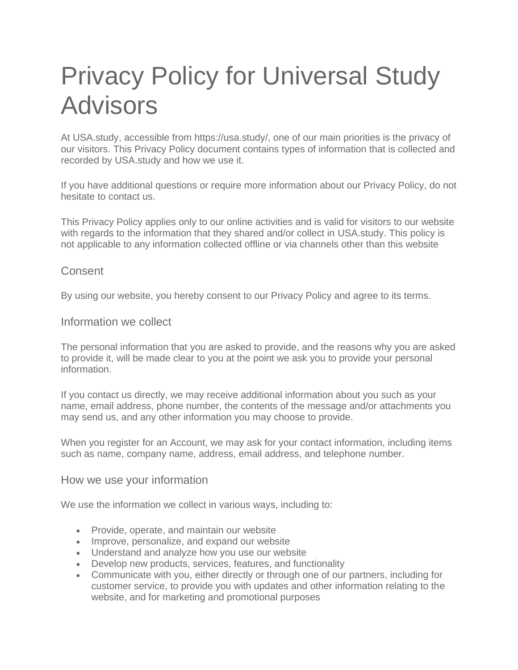# Privacy Policy for Universal Study Advisors

At USA.study, accessible from https://usa.study/, one of our main priorities is the privacy of our visitors. This Privacy Policy document contains types of information that is collected and recorded by USA.study and how we use it.

If you have additional questions or require more information about our Privacy Policy, do not hesitate to contact us.

This Privacy Policy applies only to our online activities and is valid for visitors to our website with regards to the information that they shared and/or collect in USA.study. This policy is not applicable to any information collected offline or via channels other than this website

## **Consent**

By using our website, you hereby consent to our Privacy Policy and agree to its terms.

Information we collect

The personal information that you are asked to provide, and the reasons why you are asked to provide it, will be made clear to you at the point we ask you to provide your personal information.

If you contact us directly, we may receive additional information about you such as your name, email address, phone number, the contents of the message and/or attachments you may send us, and any other information you may choose to provide.

When you register for an Account, we may ask for your contact information, including items such as name, company name, address, email address, and telephone number.

#### How we use your information

We use the information we collect in various ways, including to:

- Provide, operate, and maintain our website
- Improve, personalize, and expand our website
- Understand and analyze how you use our website
- Develop new products, services, features, and functionality
- Communicate with you, either directly or through one of our partners, including for customer service, to provide you with updates and other information relating to the website, and for marketing and promotional purposes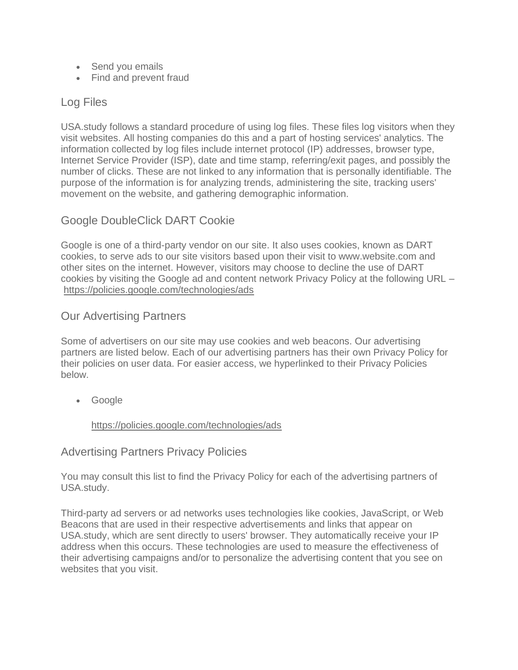- Send you emails
- Find and prevent fraud

## Log Files

USA.study follows a standard procedure of using log files. These files log visitors when they visit websites. All hosting companies do this and a part of hosting services' analytics. The information collected by log files include internet protocol (IP) addresses, browser type, Internet Service Provider (ISP), date and time stamp, referring/exit pages, and possibly the number of clicks. These are not linked to any information that is personally identifiable. The purpose of the information is for analyzing trends, administering the site, tracking users' movement on the website, and gathering demographic information.

# Google DoubleClick DART Cookie

Google is one of a third-party vendor on our site. It also uses cookies, known as DART cookies, to serve ads to our site visitors based upon their visit to www.website.com and other sites on the internet. However, visitors may choose to decline the use of DART cookies by visiting the Google ad and content network Privacy Policy at the following URL – <https://policies.google.com/technologies/ads>

# Our Advertising Partners

Some of advertisers on our site may use cookies and web beacons. Our advertising partners are listed below. Each of our advertising partners has their own Privacy Policy for their policies on user data. For easier access, we hyperlinked to their Privacy Policies below.

• Google

<https://policies.google.com/technologies/ads>

## Advertising Partners Privacy Policies

You may consult this list to find the Privacy Policy for each of the advertising partners of USA.study.

Third-party ad servers or ad networks uses technologies like cookies, JavaScript, or Web Beacons that are used in their respective advertisements and links that appear on USA.study, which are sent directly to users' browser. They automatically receive your IP address when this occurs. These technologies are used to measure the effectiveness of their advertising campaigns and/or to personalize the advertising content that you see on websites that you visit.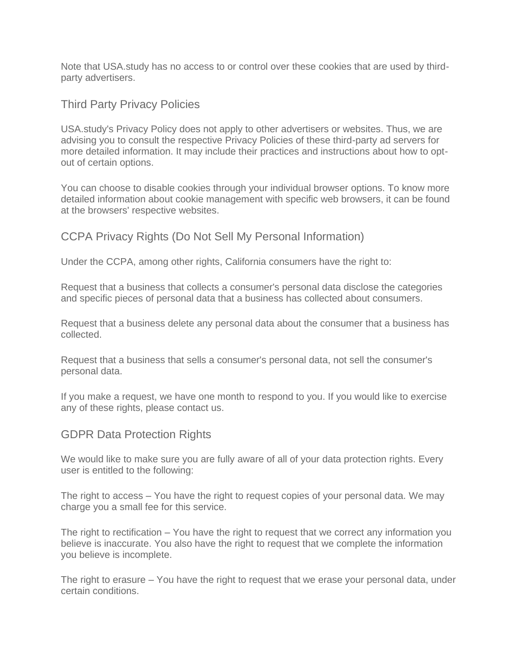Note that USA.study has no access to or control over these cookies that are used by thirdparty advertisers.

Third Party Privacy Policies

USA.study's Privacy Policy does not apply to other advertisers or websites. Thus, we are advising you to consult the respective Privacy Policies of these third-party ad servers for more detailed information. It may include their practices and instructions about how to optout of certain options.

You can choose to disable cookies through your individual browser options. To know more detailed information about cookie management with specific web browsers, it can be found at the browsers' respective websites.

CCPA Privacy Rights (Do Not Sell My Personal Information)

Under the CCPA, among other rights, California consumers have the right to:

Request that a business that collects a consumer's personal data disclose the categories and specific pieces of personal data that a business has collected about consumers.

Request that a business delete any personal data about the consumer that a business has collected.

Request that a business that sells a consumer's personal data, not sell the consumer's personal data.

If you make a request, we have one month to respond to you. If you would like to exercise any of these rights, please contact us.

GDPR Data Protection Rights

We would like to make sure you are fully aware of all of your data protection rights. Every user is entitled to the following:

The right to access – You have the right to request copies of your personal data. We may charge you a small fee for this service.

The right to rectification – You have the right to request that we correct any information you believe is inaccurate. You also have the right to request that we complete the information you believe is incomplete.

The right to erasure – You have the right to request that we erase your personal data, under certain conditions.